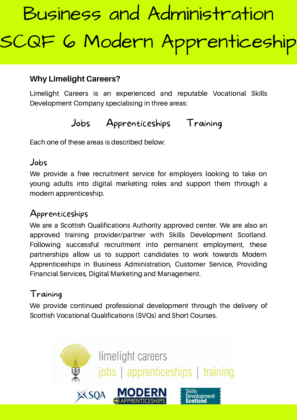# **Why Limelight Careers?**

Limelight Careers is an experienced and reputable Vocational Skills Development Company specialising in three areas:

# Jobs Apprenticeships Training

Each one of these areas is described below:

### Jobs

We provide a free recruitment service for employers looking to take on young adults into digital marketing roles and support them through a modern apprenticeship.

# Apprenticeships

We are a Scottish Qualifications Authority approved center. We are also an approved training provider/partner with Skills Development Scotland. Following successful recruitment into permanent employment, these partnerships allow us to support candidates to work towards Modern Apprenticeships in Business Administration, Customer Service, Providing Financial Services, Digital Marketing and Management.

# Training

We provide continued professional development through the delivery of Scottish Vocational Qualifications (SVQs) and Short Courses.

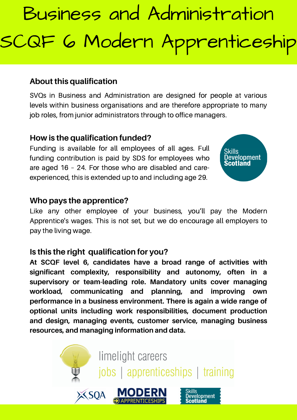#### **About this qualification**

SVQs in Business and Administration are designed for people at various levels within business organisations and are therefore appropriate to many job roles, from junior administrators through to office managers.

#### **How is the qualification funded?**

Funding is available for all employees of all ages. Full funding contribution is paid by SDS for employees who are aged 16 – 24. For those who are disabled and careexperienced, this is extended up to and including age 29.



#### **Who pays the apprentice?**

Like any other employee of your business, you'll pay the Modern Apprentice's wages. This is not set, but we do encourage all employers to pay the living wage.

#### **Is this the right qualification for you?**

**At SCQF level 6, candidates have a broad range of activities with significant complexity, responsibility and autonomy, often in a supervisory or team-leading role. Mandatory units cover managing workload, communicating and planning, and improving own performance in a business environment. There is again a wide range of optional units including work responsibilities, document production and design, managing events, customer service, managing business resources, and managing information and data.**

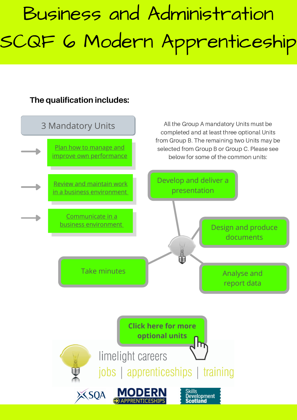# **The qualification includes:**